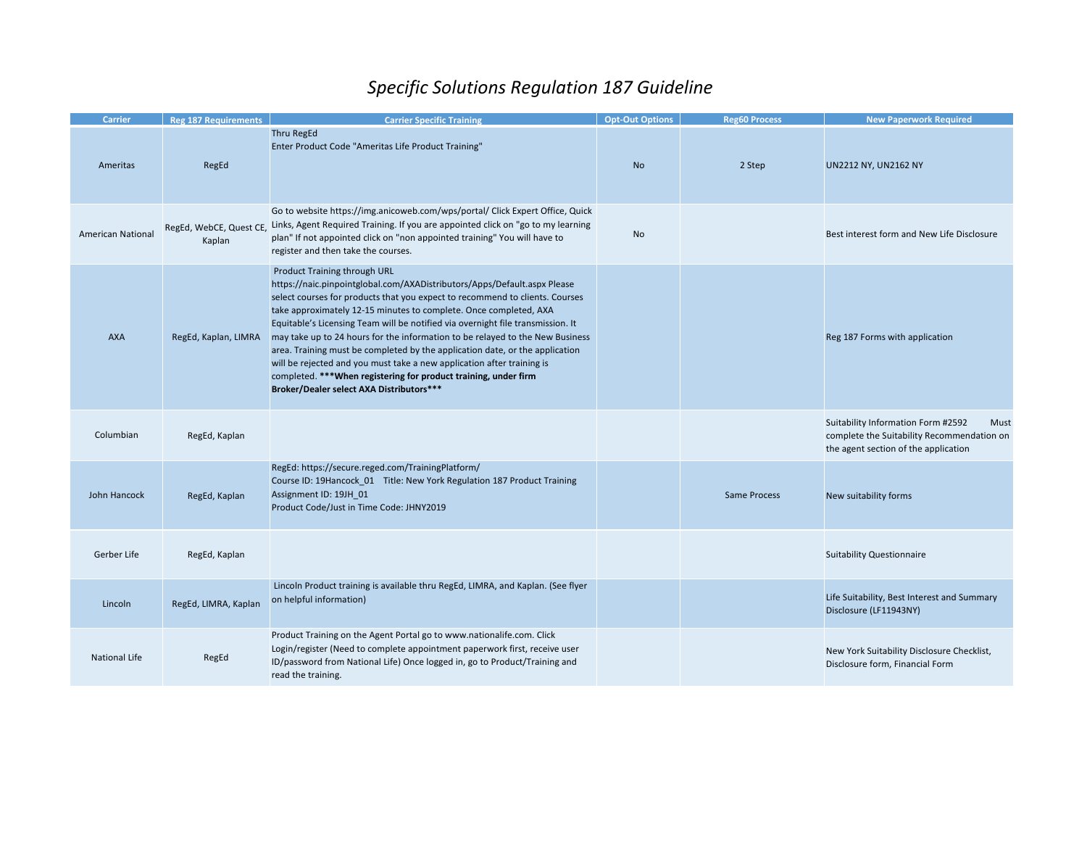## *Specific Solutions Regulation 187 Guideline*

| <b>Carrier</b>           | <b>Reg 187 Requirements</b>       | <b>Carrier Specific Training</b>                                                                                                                                                                                                                                                                                                                                                                                                                                                                                                                                                                                                                                                                            | <b>Opt-Out Options</b> | <b>Reg60 Process</b> | <b>New Paperwork Required</b>                                                                                                    |
|--------------------------|-----------------------------------|-------------------------------------------------------------------------------------------------------------------------------------------------------------------------------------------------------------------------------------------------------------------------------------------------------------------------------------------------------------------------------------------------------------------------------------------------------------------------------------------------------------------------------------------------------------------------------------------------------------------------------------------------------------------------------------------------------------|------------------------|----------------------|----------------------------------------------------------------------------------------------------------------------------------|
| Ameritas                 | RegEd                             | <b>Thru RegEd</b><br>Enter Product Code "Ameritas Life Product Training"                                                                                                                                                                                                                                                                                                                                                                                                                                                                                                                                                                                                                                    | <b>No</b>              | 2 Step               | UN2212 NY, UN2162 NY                                                                                                             |
| <b>American National</b> | RegEd, WebCE, Quest CE,<br>Kaplan | Go to website https://img.anicoweb.com/wps/portal/ Click Expert Office, Quick<br>Links, Agent Required Training. If you are appointed click on "go to my learning<br>plan" If not appointed click on "non appointed training" You will have to<br>register and then take the courses.                                                                                                                                                                                                                                                                                                                                                                                                                       | No                     |                      | Best interest form and New Life Disclosure                                                                                       |
| <b>AXA</b>               | RegEd, Kaplan, LIMRA              | Product Training through URL<br>https://naic.pinpointglobal.com/AXADistributors/Apps/Default.aspx Please<br>select courses for products that you expect to recommend to clients. Courses<br>take approximately 12-15 minutes to complete. Once completed, AXA<br>Equitable's Licensing Team will be notified via overnight file transmission. It<br>may take up to 24 hours for the information to be relayed to the New Business<br>area. Training must be completed by the application date, or the application<br>will be rejected and you must take a new application after training is<br>completed. *** When registering for product training, under firm<br>Broker/Dealer select AXA Distributors*** |                        |                      | Reg 187 Forms with application                                                                                                   |
| Columbian                | RegEd, Kaplan                     |                                                                                                                                                                                                                                                                                                                                                                                                                                                                                                                                                                                                                                                                                                             |                        |                      | Suitability Information Form #2592<br>Must<br>complete the Suitability Recommendation on<br>the agent section of the application |
| John Hancock             | RegEd, Kaplan                     | RegEd: https://secure.reged.com/TrainingPlatform/<br>Course ID: 19Hancock_01 Title: New York Regulation 187 Product Training<br>Assignment ID: 19JH_01<br>Product Code/Just in Time Code: JHNY2019                                                                                                                                                                                                                                                                                                                                                                                                                                                                                                          |                        | <b>Same Process</b>  | New suitability forms                                                                                                            |
| Gerber Life              | RegEd, Kaplan                     |                                                                                                                                                                                                                                                                                                                                                                                                                                                                                                                                                                                                                                                                                                             |                        |                      | <b>Suitability Questionnaire</b>                                                                                                 |
| Lincoln                  | RegEd, LIMRA, Kaplan              | Lincoln Product training is available thru RegEd, LIMRA, and Kaplan. (See flyer<br>on helpful information)                                                                                                                                                                                                                                                                                                                                                                                                                                                                                                                                                                                                  |                        |                      | Life Suitability, Best Interest and Summary<br>Disclosure (LF11943NY)                                                            |
| National Life            | RegEd                             | Product Training on the Agent Portal go to www.nationalife.com. Click<br>Login/register (Need to complete appointment paperwork first, receive user<br>ID/password from National Life) Once logged in, go to Product/Training and<br>read the training.                                                                                                                                                                                                                                                                                                                                                                                                                                                     |                        |                      | New York Suitability Disclosure Checklist,<br>Disclosure form, Financial Form                                                    |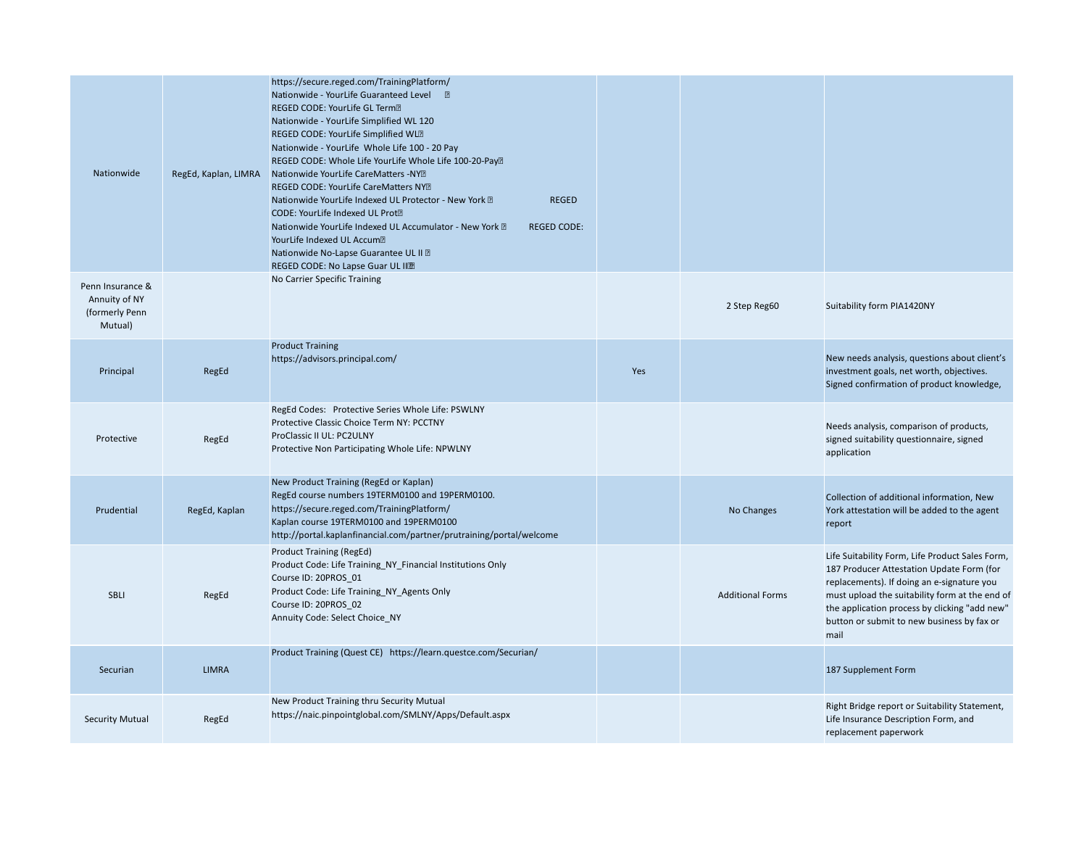| Nationwide                                                     | RegEd, Kaplan, LIMRA | https://secure.reged.com/TrainingPlatform/<br>Nationwide - YourLife Guaranteed Level <b>I</b><br>REGED CODE: YourLife GL Term <sup>2</sup><br>Nationwide - YourLife Simplified WL 120<br>REGED CODE: YourLife Simplified WLD<br>Nationwide - YourLife Whole Life 100 - 20 Pay<br>REGED CODE: Whole Life YourLife Whole Life 100-20-Pay <sup>®</sup><br>Nationwide YourLife CareMatters -NY?<br>REGED CODE: YourLife CareMatters NYD<br>Nationwide YourLife Indexed UL Protector - New York ?<br><b>REGED</b><br>CODE: YourLife Indexed UL Prot <sup>2</sup><br>Nationwide YourLife Indexed UL Accumulator - New York ?<br><b>REGED CODE:</b><br>YourLife Indexed UL Accum?<br>Nationwide No-Lapse Guarantee UL II ?<br>REGED CODE: No Lapse Guar UL IIII |     |                         |                                                                                                                                                                                                                                                                                                     |
|----------------------------------------------------------------|----------------------|----------------------------------------------------------------------------------------------------------------------------------------------------------------------------------------------------------------------------------------------------------------------------------------------------------------------------------------------------------------------------------------------------------------------------------------------------------------------------------------------------------------------------------------------------------------------------------------------------------------------------------------------------------------------------------------------------------------------------------------------------------|-----|-------------------------|-----------------------------------------------------------------------------------------------------------------------------------------------------------------------------------------------------------------------------------------------------------------------------------------------------|
| Penn Insurance &<br>Annuity of NY<br>(formerly Penn<br>Mutual) |                      | No Carrier Specific Training                                                                                                                                                                                                                                                                                                                                                                                                                                                                                                                                                                                                                                                                                                                             |     | 2 Step Reg60            | Suitability form PIA1420NY                                                                                                                                                                                                                                                                          |
| Principal                                                      | RegEd                | <b>Product Training</b><br>https://advisors.principal.com/                                                                                                                                                                                                                                                                                                                                                                                                                                                                                                                                                                                                                                                                                               | Yes |                         | New needs analysis, questions about client's<br>investment goals, net worth, objectives.<br>Signed confirmation of product knowledge,                                                                                                                                                               |
| Protective                                                     | RegEd                | RegEd Codes: Protective Series Whole Life: PSWLNY<br>Protective Classic Choice Term NY: PCCTNY<br>ProClassic II UL: PC2ULNY<br>Protective Non Participating Whole Life: NPWLNY                                                                                                                                                                                                                                                                                                                                                                                                                                                                                                                                                                           |     |                         | Needs analysis, comparison of products,<br>signed suitability questionnaire, signed<br>application                                                                                                                                                                                                  |
| Prudential                                                     | RegEd, Kaplan        | New Product Training (RegEd or Kaplan)<br>RegEd course numbers 19TERM0100 and 19PERM0100.<br>https://secure.reged.com/TrainingPlatform/<br>Kaplan course 19TERM0100 and 19PERM0100<br>http://portal.kaplanfinancial.com/partner/prutraining/portal/welcome                                                                                                                                                                                                                                                                                                                                                                                                                                                                                               |     | No Changes              | Collection of additional information, New<br>York attestation will be added to the agent<br>report                                                                                                                                                                                                  |
| SBLI                                                           | RegEd                | <b>Product Training (RegEd)</b><br>Product Code: Life Training_NY_Financial Institutions Only<br>Course ID: 20PROS_01<br>Product Code: Life Training_NY_Agents Only<br>Course ID: 20PROS 02<br>Annuity Code: Select Choice NY                                                                                                                                                                                                                                                                                                                                                                                                                                                                                                                            |     | <b>Additional Forms</b> | Life Suitability Form, Life Product Sales Form,<br>187 Producer Attestation Update Form (for<br>replacements). If doing an e-signature you<br>must upload the suitability form at the end of<br>the application process by clicking "add new"<br>button or submit to new business by fax or<br>mail |
| Securian                                                       | <b>LIMRA</b>         | Product Training (Quest CE) https://learn.questce.com/Securian/                                                                                                                                                                                                                                                                                                                                                                                                                                                                                                                                                                                                                                                                                          |     |                         | 187 Supplement Form                                                                                                                                                                                                                                                                                 |
| <b>Security Mutual</b>                                         | RegEd                | New Product Training thru Security Mutual<br>https://naic.pinpointglobal.com/SMLNY/Apps/Default.aspx                                                                                                                                                                                                                                                                                                                                                                                                                                                                                                                                                                                                                                                     |     |                         | Right Bridge report or Suitability Statement,<br>Life Insurance Description Form, and<br>replacement paperwork                                                                                                                                                                                      |